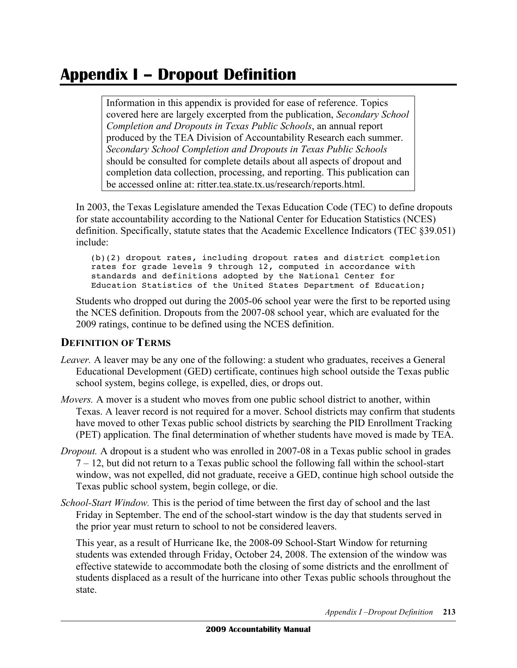# **Appendix I – Dropout Definition**

 Information in this appendix is provided for ease of reference. Topics covered here are largely excerpted from the publication, *Secondary School Completion and Dropouts in Texas Public Schools*, an annual report produced by the TEA Division of Accountability Research each summer.  *Secondary School Completion and Dropouts in Texas Public Schools*  should be consulted for complete details about all aspects of dropout and completion data collection, processing, and reporting. This publication can be accessed online at: ritter.tea.state.tx.us/research/reports.html.

 In 2003, the Texas Legislature amended the Texas Education Code (TEC) to define dropouts for state accountability according to the National Center for Education Statistics (NCES) definition. Specifically, statute states that the Academic Excellence Indicators (TEC §39.051) include:

 (b)(2) dropout rates, including dropout rates and district completion rates for grade levels 9 through 12, computed in accordance with standards and definitions adopted by the National Center for Education Statistics of the United States Department of Education;

 Students who dropped out during the 2005-06 school year were the first to be reported using the NCES definition. Dropouts from the 2007-08 school year, which are evaluated for the 2009 ratings, continue to be defined using the NCES definition.

## **DEFINITION OF TERMS**

- *Leaver.* A leaver may be any one of the following: a student who graduates, receives a General Educational Development (GED) certificate, continues high school outside the Texas public school system, begins college, is expelled, dies, or drops out.
- *Movers.* A mover is a student who moves from one public school district to another, within Texas. A leaver record is not required for a mover. School districts may confirm that students have moved to other Texas public school districts by searching the PID Enrollment Tracking (PET) application. The final determination of whether students have moved is made by TEA.
- *Dropout.* A dropout is a student who was enrolled in 2007-08 in a Texas public school in grades 7 – 12, but did not return to a Texas public school the following fall within the school-start window, was not expelled, did not graduate, receive a GED, continue high school outside the Texas public school system, begin college, or die.
- *School-Start Window.* This is the period of time between the first day of school and the last Friday in September. The end of the school-start window is the day that students served in the prior year must return to school to not be considered leavers.

 This year, as a result of Hurricane Ike, the 2008-09 School-Start Window for returning students was extended through Friday, October 24, 2008. The extension of the window was effective statewide to accommodate both the closing of some districts and the enrollment of students displaced as a result of the hurricane into other Texas public schools throughout the state.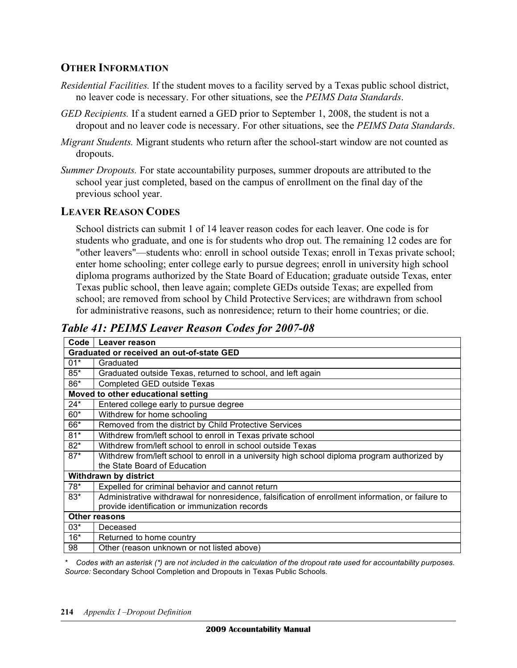#### **OTHER INFORMATION**

- *Residential Facilities.* If the student moves to a facility served by a Texas public school district, no leaver code is necessary. For other situations, see the *PEIMS Data Standards*.
- *GED Recipients.* If a student earned a GED prior to September 1, 2008, the student is not a dropout and no leaver code is necessary. For other situations, see the *PEIMS Data Standards*.
- *Migrant Students.* Migrant students who return after the school-start window are not counted as dropouts.
- *Summer Dropouts.* For state accountability purposes, summer dropouts are attributed to the school year just completed, based on the campus of enrollment on the final day of the previous school year.

#### **LEAVER REASON CODES**

 School districts can submit 1 of 14 leaver reason codes for each leaver. One code is for students who graduate, and one is for students who drop out. The remaining 12 codes are for "other leavers"—students who: enroll in school outside Texas; enroll in Texas private school; enter home schooling; enter college early to pursue degrees; enroll in university high school diploma programs authorized by the State Board of Education; graduate outside Texas, enter Texas public school, then leave again; complete GEDs outside Texas; are expelled from school; are removed from school by Child Protective Services; are withdrawn from school for administrative reasons, such as nonresidence; return to their home countries; or die.

 *Table 41: PEIMS Leaver Reason Codes for 2007-08* 

| Code                                      | Leaver reason                                                                                      |
|-------------------------------------------|----------------------------------------------------------------------------------------------------|
| Graduated or received an out-of-state GED |                                                                                                    |
| $01*$                                     | Graduated                                                                                          |
| $85*$                                     | Graduated outside Texas, returned to school, and left again                                        |
| 86*                                       | Completed GED outside Texas                                                                        |
| Moved to other educational setting        |                                                                                                    |
| $24*$                                     | Entered college early to pursue degree                                                             |
| $60*$                                     | Withdrew for home schooling                                                                        |
| 66*                                       | Removed from the district by Child Protective Services                                             |
| $81*$                                     | Withdrew from/left school to enroll in Texas private school                                        |
| $82*$                                     | Withdrew from/left school to enroll in school outside Texas                                        |
| $87*$                                     | Withdrew from/left school to enroll in a university high school diploma program authorized by      |
|                                           | the State Board of Education                                                                       |
| Withdrawn by district                     |                                                                                                    |
| $78*$                                     | Expelled for criminal behavior and cannot return                                                   |
| $83*$                                     | Administrative withdrawal for nonresidence, falsification of enrollment information, or failure to |
|                                           | provide identification or immunization records                                                     |
| Other reasons                             |                                                                                                    |
| $03*$                                     | Deceased                                                                                           |
| $16*$                                     | Returned to home country                                                                           |
| 98                                        | Other (reason unknown or not listed above)                                                         |

 *\* Codes with an asterisk (\*) are not included in the calculation of the dropout rate used for accountability purposes. Source:* Secondary School Completion and Dropouts in Texas Public Schools*.*